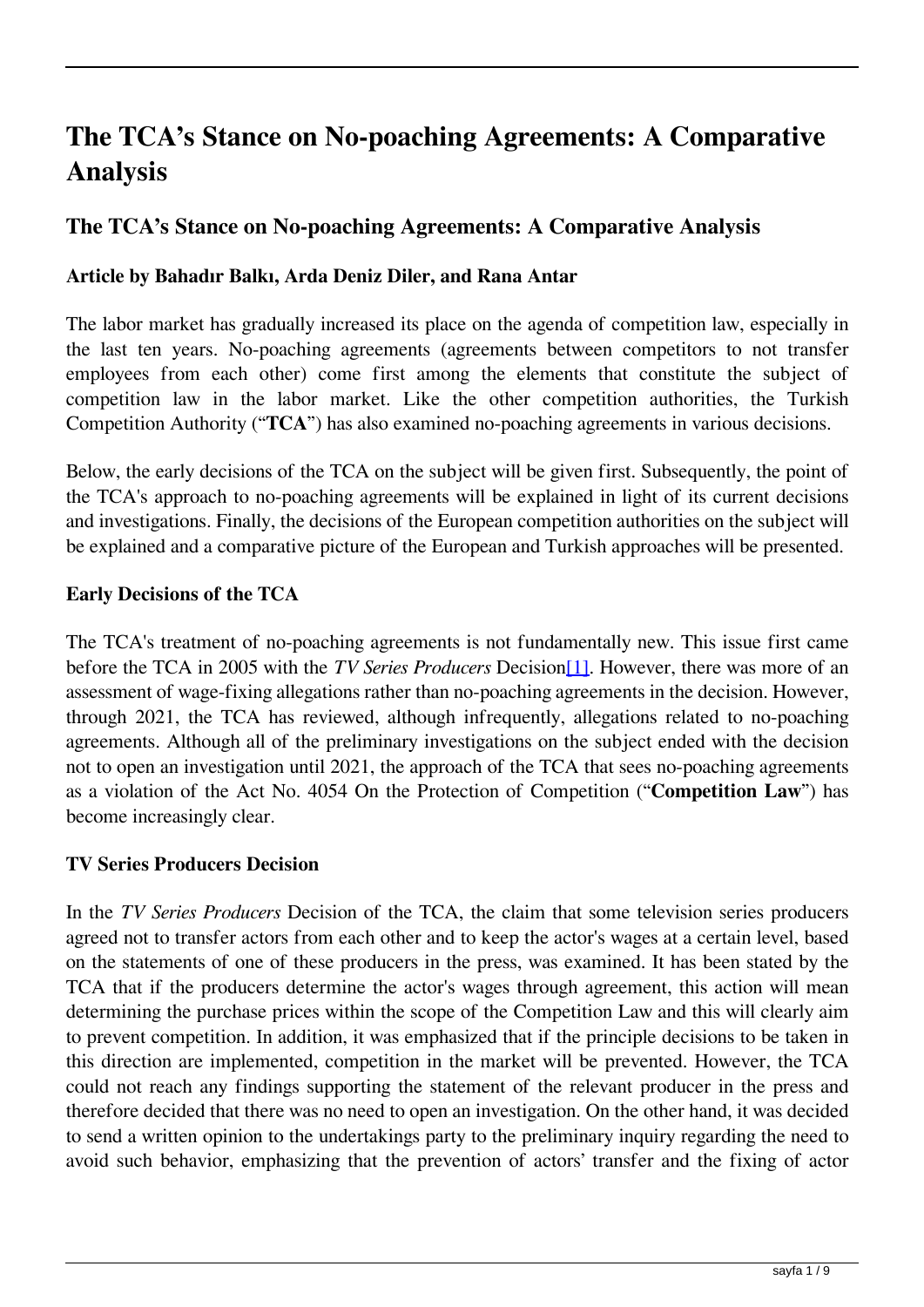# **The TCA's Stance on No-poaching Agreements: A Comparative Analysis**

## **The TCA's Stance on No-poaching Agreements: A Comparative Analysis**

### **Article by Bahadır Balkı, Arda Deniz Diler, and Rana Antar**

The labor market has gradually increased its place on the agenda of competition law, especially in the last ten years. No-poaching agreements (agreements between competitors to not transfer employees from each other) come first among the elements that constitute the subject of competition law in the labor market. Like the other competition authorities, the Turkish Competition Authority ("**TCA**") has also examined no-poaching agreements in various decisions.

Below, the early decisions of the TCA on the subject will be given first. Subsequently, the point of the TCA's approach to no-poaching agreements will be explained in light of its current decisions and investigations. Finally, the decisions of the European competition authorities on the subject will be explained and a comparative picture of the European and Turkish approaches will be presented.

#### **Early Decisions of the TCA**

The TCA's treatment of no-poaching agreements is not fundamentally new. This issue first came before the TCA in 2005 with the *TV Series Producers* Decision[1]. However, there was more of an assessment of wage-fixing allegations rather than no-poaching agreements in the decision. However, through 2021, the TCA has reviewed, although infrequently, allegations related to no-poaching agreements. Although all of the preliminary investigations on the subject ended with the decision not to open an investigation until 2021, the approach of the TCA that sees no-poaching agreements as a violation of the Act No. 4054 On the Protection of Competition ("**Competition Law**") has become increasingly clear.

#### **TV Series Producers Decision**

In the *TV Series Producers* Decision of the TCA, the claim that some television series producers agreed not to transfer actors from each other and to keep the actor's wages at a certain level, based on the statements of one of these producers in the press, was examined. It has been stated by the TCA that if the producers determine the actor's wages through agreement, this action will mean determining the purchase prices within the scope of the Competition Law and this will clearly aim to prevent competition. In addition, it was emphasized that if the principle decisions to be taken in this direction are implemented, competition in the market will be prevented. However, the TCA could not reach any findings supporting the statement of the relevant producer in the press and therefore decided that there was no need to open an investigation. On the other hand, it was decided to send a written opinion to the undertakings party to the preliminary inquiry regarding the need to avoid such behavior, emphasizing that the prevention of actors' transfer and the fixing of actor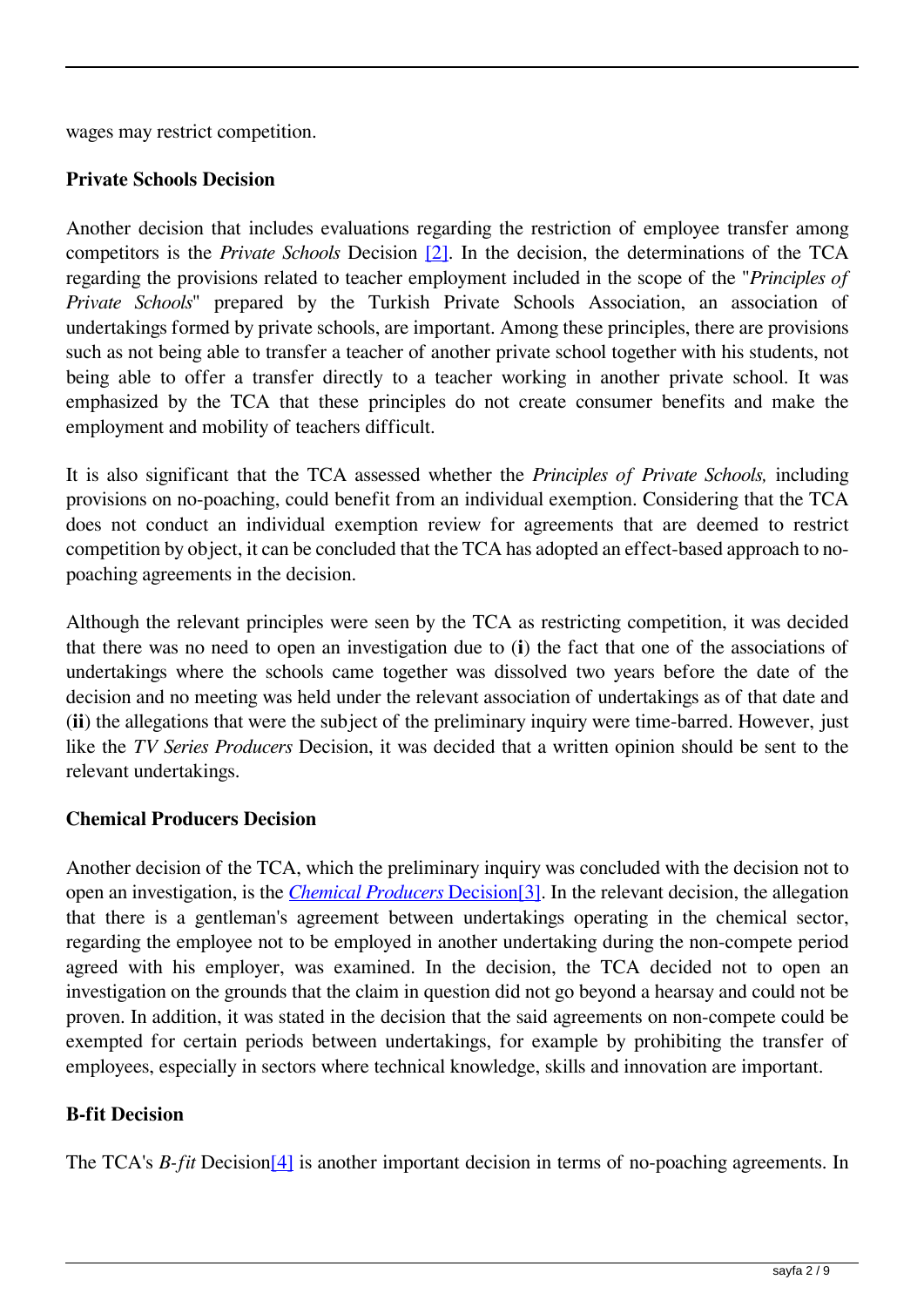wages may restrict competition.

## **Private Schools Decision**

Another decision that includes evaluations regarding the restriction of employee transfer among competitors is the *Private Schools* Decision [2]. In the decision, the determinations of the TCA regarding the provisions related to teacher employment included in the scope of the "*Principles of Private Schools*" prepared by the Turkish Private Schools Association, an association of undertakings formed by private schools, are important. Among these principles, there are provisions such as not being able to transfer a teacher of another private school together with his students, not being able to offer a transfer directly to a teacher working in another private school. It was emphasized by the TCA that these principles do not create consumer benefits and make the employment and mobility of teachers difficult.

It is also significant that the TCA assessed whether the *Principles of Private Schools,* including provisions on no-poaching, could benefit from an individual exemption. Considering that the TCA does not conduct an individual exemption review for agreements that are deemed to restrict competition by object, it can be concluded that the TCA has adopted an effect-based approach to nopoaching agreements in the decision.

Although the relevant principles were seen by the TCA as restricting competition, it was decided that there was no need to open an investigation due to (**i**) the fact that one of the associations of undertakings where the schools came together was dissolved two years before the date of the decision and no meeting was held under the relevant association of undertakings as of that date and (**ii**) the allegations that were the subject of the preliminary inquiry were time-barred. However, just like the *TV Series Producers* Decision, it was decided that a written opinion should be sent to the relevant undertakings.

## **Chemical Producers Decision**

Another decision of the TCA, which the preliminary inquiry was concluded with the decision not to open an investigation, is the *Chemical Producers* Decision[3]. In the relevant decision, the allegation that there is a gentleman's agreement between undertakings operating in the chemical sector, regarding the employee not to be employed in another undertaking during the non-compete period agreed with his employer, was examined. In the decision, the TCA decided not to open an investigation on the grounds that the claim in question did not go beyond a hearsay and could not be proven. In addition, it was stated in the decision that the said agreements on non-compete could be exempted for certain periods between undertakings, for example by prohibiting the transfer of employees, especially in sectors where technical knowledge, skills and innovation are important.

## **B-fit Decision**

The TCA's *B-fit* Decision[4] is another important decision in terms of no-poaching agreements. In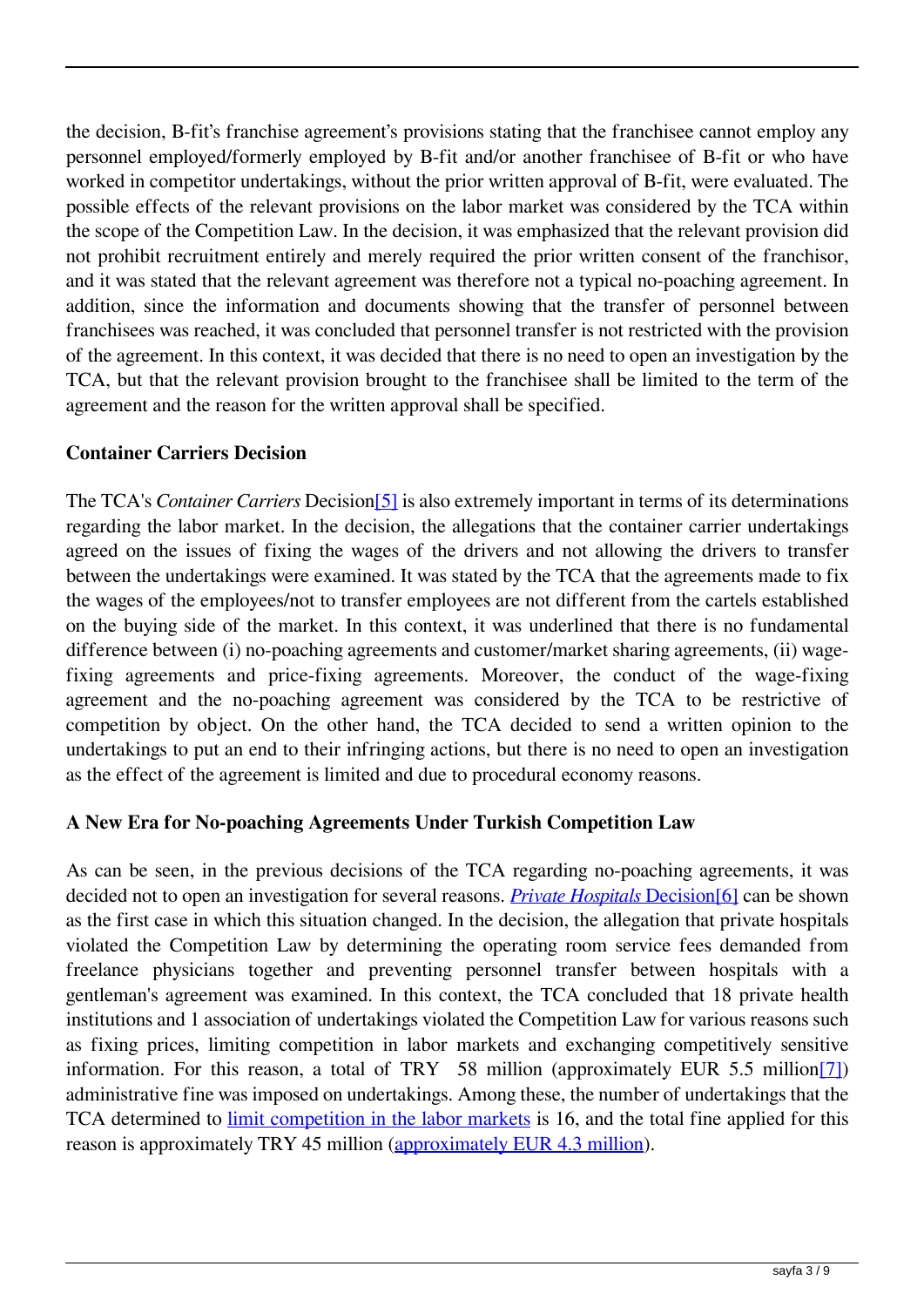the decision, B-fit's franchise agreement's provisions stating that the franchisee cannot employ any personnel employed/formerly employed by B-fit and/or another franchisee of B-fit or who have worked in competitor undertakings, without the prior written approval of B-fit, were evaluated. The possible effects of the relevant provisions on the labor market was considered by the TCA within the scope of the Competition Law. In the decision, it was emphasized that the relevant provision did not prohibit recruitment entirely and merely required the prior written consent of the franchisor, and it was stated that the relevant agreement was therefore not a typical no-poaching agreement. In addition, since the information and documents showing that the transfer of personnel between franchisees was reached, it was concluded that personnel transfer is not restricted with the provision of the agreement. In this context, it was decided that there is no need to open an investigation by the TCA, but that the relevant provision brought to the franchisee shall be limited to the term of the agreement and the reason for the written approval shall be specified.

#### **Container Carriers Decision**

The TCA's *Container Carriers* Decision[5] is also extremely important in terms of its determinations regarding the labor market. In the decision, the allegations that the container carrier undertakings agreed on the issues of fixing the wages of the drivers and not allowing the drivers to transfer between the undertakings were examined. It was stated by the TCA that the agreements made to fix the wages of the employees/not to transfer employees are not different from the cartels established on the buying side of the market. In this context, it was underlined that there is no fundamental difference between (i) no-poaching agreements and customer/market sharing agreements, (ii) wagefixing agreements and price-fixing agreements. Moreover, the conduct of the wage-fixing agreement and the no-poaching agreement was considered by the TCA to be restrictive of competition by object. On the other hand, the TCA decided to send a written opinion to the undertakings to put an end to their infringing actions, but there is no need to open an investigation as the effect of the agreement is limited and due to procedural economy reasons.

#### **A New Era for No-poaching Agreements Under Turkish Competition Law**

As can be seen, in the previous decisions of the TCA regarding no-poaching agreements, it was decided not to open an investigation for several reasons. *Private Hospitals* Decision[6] can be shown as the first case in which this situation changed. In the decision, the allegation that private hospitals violated the Competition Law by determining the operating room service fees demanded from freelance physicians together and preventing personnel transfer between hospitals with a gentleman's agreement was examined. In this context, the TCA concluded that 18 private health institutions and 1 association of undertakings violated the Competition Law for various reasons such as fixing prices, limiting competition in labor markets and exchanging competitively sensitive information. For this reason, a total of TRY 58 million (approximately EUR 5.5 million[7]) administrative fine was imposed on undertakings. Among these, the number of undertakings that the TCA determined to limit competition in the labor markets is 16, and the total fine applied for this reason is approximately TRY 45 million (approximately EUR 4.3 million).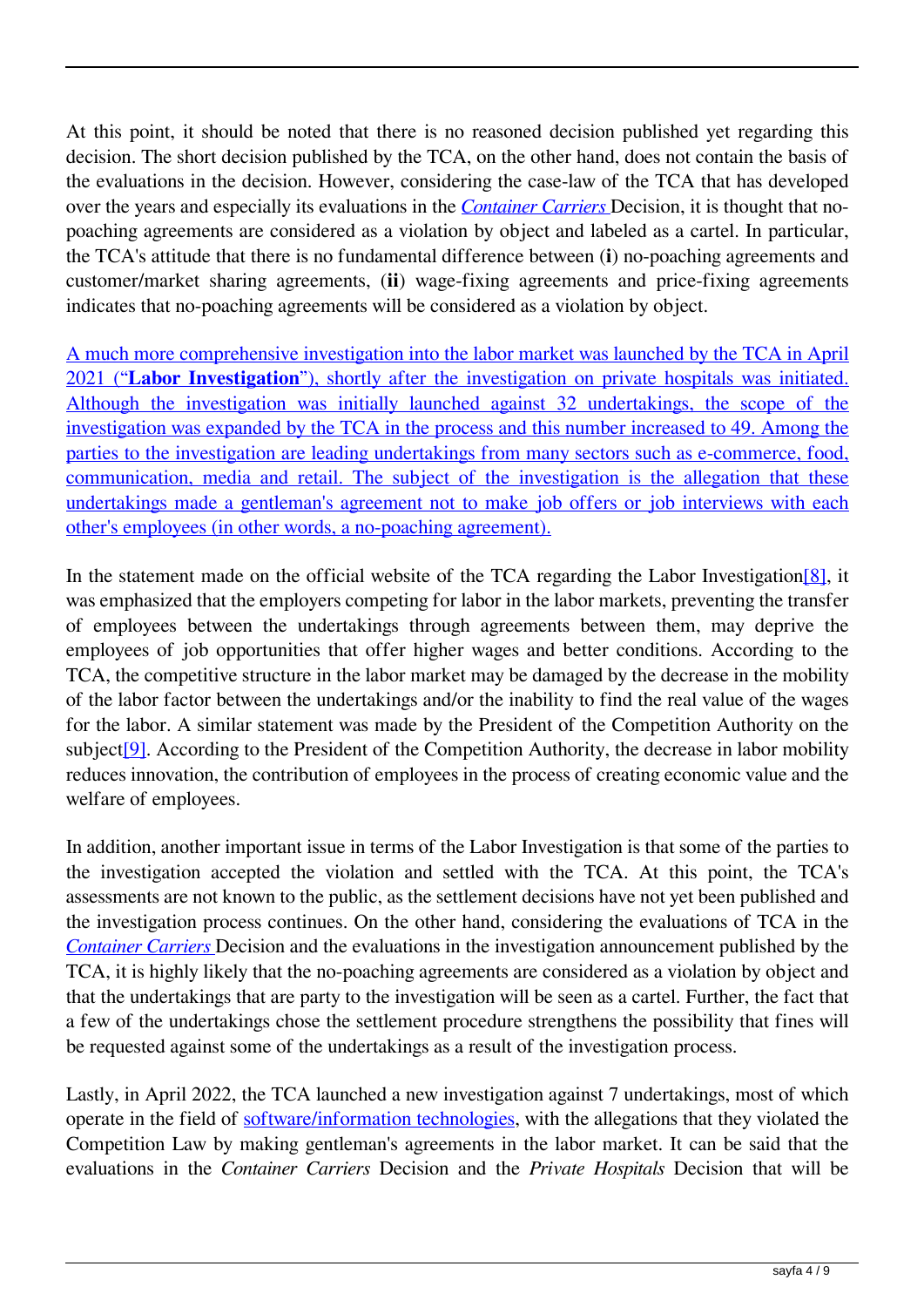At this point, it should be noted that there is no reasoned decision published yet regarding this decision. The short decision published by the TCA, on the other hand, does not contain the basis of the evaluations in the decision. However, considering the case-law of the TCA that has developed over the years and especially its evaluations in the *Container Carriers* Decision, it is thought that nopoaching agreements are considered as a violation by object and labeled as a cartel. In particular, the TCA's attitude that there is no fundamental difference between (**i**) no-poaching agreements and customer/market sharing agreements, (**ii**) wage-fixing agreements and price-fixing agreements indicates that no-poaching agreements will be considered as a violation by object.

A much more comprehensive investigation into the labor market was launched by the TCA in April 2021 ("**Labor Investigation**"), shortly after the investigation on private hospitals was initiated. Although the investigation was initially launched against 32 undertakings, the scope of the investigation was expanded by the TCA in the process and this number increased to 49. Among the parties to the investigation are leading undertakings from many sectors such as e-commerce, food, communication, media and retail. The subject of the investigation is the allegation that these undertakings made a gentleman's agreement not to make job offers or job interviews with each other's employees (in other words, a no-poaching agreement).

In the statement made on the official website of the TCA regarding the Labor Investigation<sup>[8]</sup>, it was emphasized that the employers competing for labor in the labor markets, preventing the transfer of employees between the undertakings through agreements between them, may deprive the employees of job opportunities that offer higher wages and better conditions. According to the TCA, the competitive structure in the labor market may be damaged by the decrease in the mobility of the labor factor between the undertakings and/or the inability to find the real value of the wages for the labor. A similar statement was made by the President of the Competition Authority on the subject<sup>[9]</sup>. According to the President of the Competition Authority, the decrease in labor mobility reduces innovation, the contribution of employees in the process of creating economic value and the welfare of employees.

In addition, another important issue in terms of the Labor Investigation is that some of the parties to the investigation accepted the violation and settled with the TCA. At this point, the TCA's assessments are not known to the public, as the settlement decisions have not yet been published and the investigation process continues. On the other hand, considering the evaluations of TCA in the *Container Carriers* Decision and the evaluations in the investigation announcement published by the TCA, it is highly likely that the no-poaching agreements are considered as a violation by object and that the undertakings that are party to the investigation will be seen as a cartel. Further, the fact that a few of the undertakings chose the settlement procedure strengthens the possibility that fines will be requested against some of the undertakings as a result of the investigation process.

Lastly, in April 2022, the TCA launched a new investigation against 7 undertakings, most of which operate in the field of software/information technologies, with the allegations that they violated the Competition Law by making gentleman's agreements in the labor market. It can be said that the evaluations in the *Container Carriers* Decision and the *Private Hospitals* Decision that will be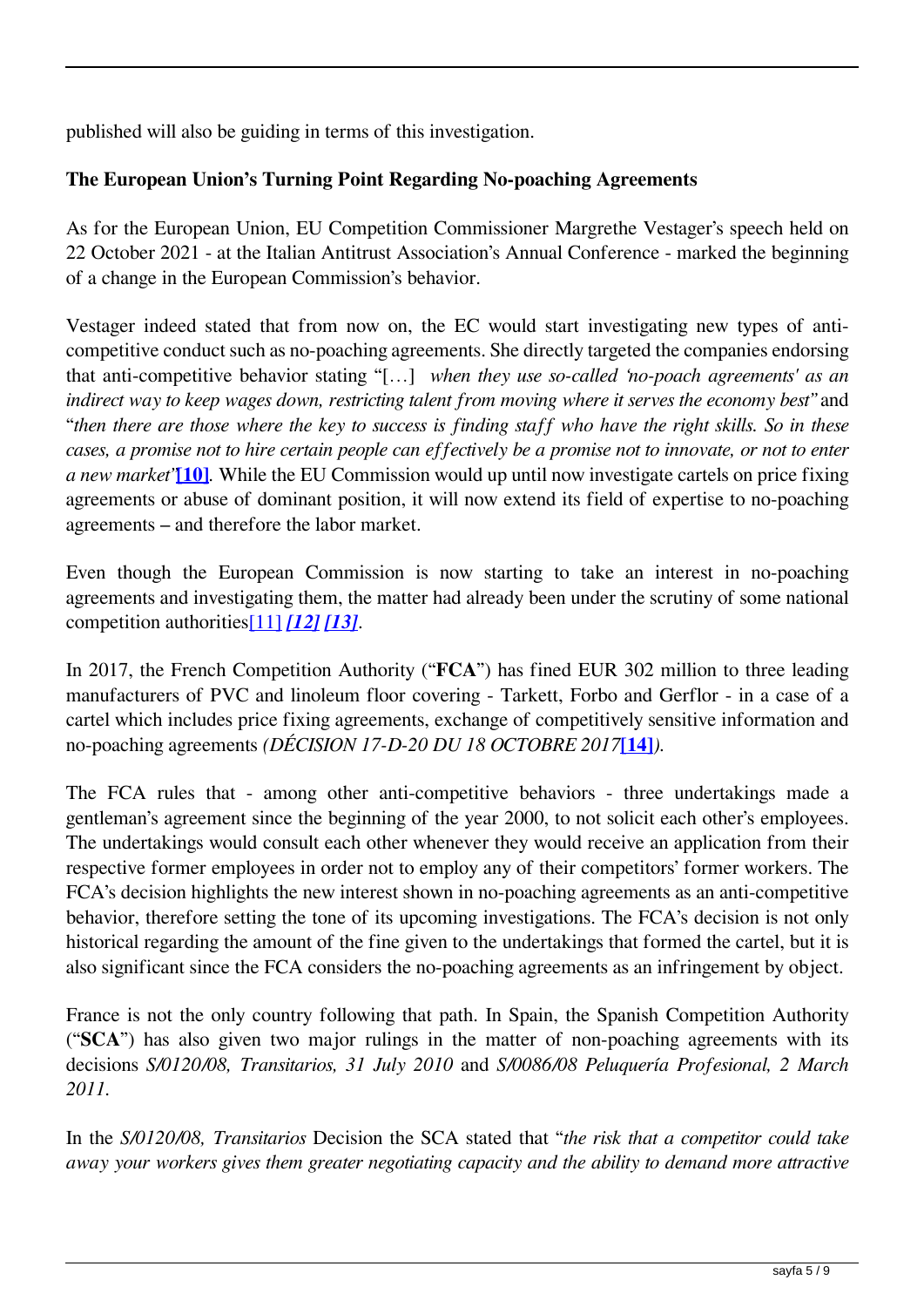published will also be guiding in terms of this investigation.

# **The European Union's Turning Point Regarding No-poaching Agreements**

As for the European Union, EU Competition Commissioner Margrethe Vestager's speech held on 22 October 2021 - at the Italian Antitrust Association's Annual Conference - marked the beginning of a change in the European Commission's behavior.

Vestager indeed stated that from now on, the EC would start investigating new types of anticompetitive conduct such as no-poaching agreements. She directly targeted the companies endorsing that anti-competitive behavior stating "[…] *when they use so-called 'no-poach agreements' as an indirect way to keep wages down, restricting talent from moving where it serves the economy best"* and "*then there are those where the key to success is finding staff who have the right skills. So in these cases, a promise not to hire certain people can effectively be a promise not to innovate, or not to enter a new market"***[10]***.* While the EU Commission would up until now investigate cartels on price fixing agreements or abuse of dominant position, it will now extend its field of expertise to no-poaching agreements – and therefore the labor market.

Even though the European Commission is now starting to take an interest in no-poaching agreements and investigating them, the matter had already been under the scrutiny of some national competition authorities[11] *[12] [13]*.

In 2017, the French Competition Authority ("**FCA**") has fined EUR 302 million to three leading manufacturers of PVC and linoleum floor covering - Tarkett, Forbo and Gerflor - in a case of a cartel which includes price fixing agreements, exchange of competitively sensitive information and no-poaching agreements *(DÉCISION 17-D-20 DU 18 OCTOBRE 2017***[14]***).* 

The FCA rules that - among other anti-competitive behaviors - three undertakings made a gentleman's agreement since the beginning of the year 2000, to not solicit each other's employees. The undertakings would consult each other whenever they would receive an application from their respective former employees in order not to employ any of their competitors' former workers. The FCA's decision highlights the new interest shown in no-poaching agreements as an anti-competitive behavior, therefore setting the tone of its upcoming investigations. The FCA's decision is not only historical regarding the amount of the fine given to the undertakings that formed the cartel, but it is also significant since the FCA considers the no-poaching agreements as an infringement by object.

France is not the only country following that path. In Spain, the Spanish Competition Authority ("**SCA**") has also given two major rulings in the matter of non-poaching agreements with its decisions *S/0120/08, Transitarios, 31 July 2010* and *S/0086/08 Peluquería Profesional, 2 March 2011.* 

In the *S/0120/08, Transitarios* Decision the SCA stated that "*the risk that a competitor could take away your workers gives them greater negotiating capacity and the ability to demand more attractive*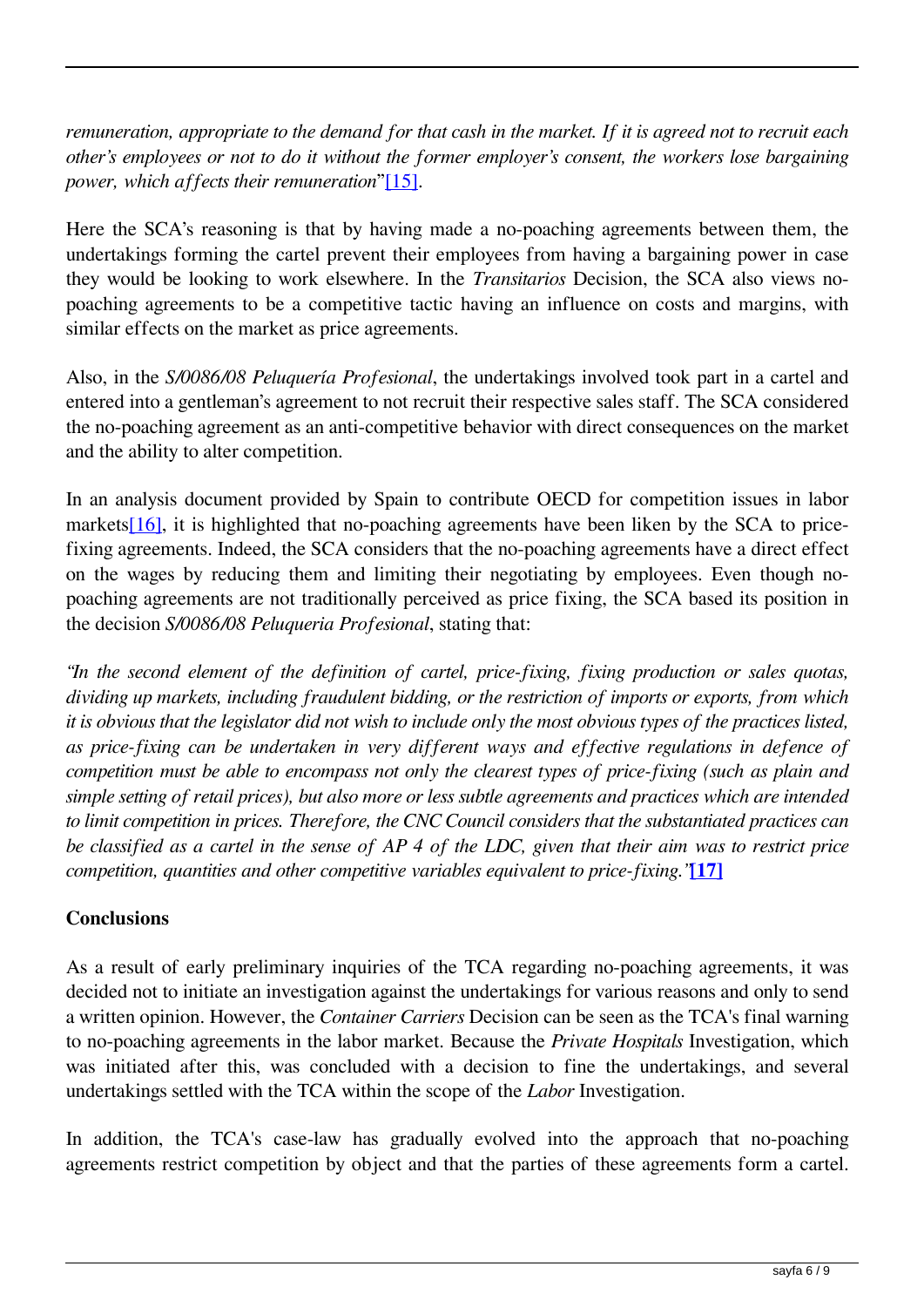*remuneration, appropriate to the demand for that cash in the market. If it is agreed not to recruit each other's employees or not to do it without the former employer's consent, the workers lose bargaining power, which affects their remuneration*"[15].

Here the SCA's reasoning is that by having made a no-poaching agreements between them, the undertakings forming the cartel prevent their employees from having a bargaining power in case they would be looking to work elsewhere. In the *Transitarios* Decision, the SCA also views nopoaching agreements to be a competitive tactic having an influence on costs and margins, with similar effects on the market as price agreements.

Also, in the *S/0086/08 Peluquería Profesional*, the undertakings involved took part in a cartel and entered into a gentleman's agreement to not recruit their respective sales staff. The SCA considered the no-poaching agreement as an anti-competitive behavior with direct consequences on the market and the ability to alter competition.

In an analysis document provided by Spain to contribute OECD for competition issues in labor markets[16], it is highlighted that no-poaching agreements have been liken by the SCA to pricefixing agreements. Indeed, the SCA considers that the no-poaching agreements have a direct effect on the wages by reducing them and limiting their negotiating by employees. Even though nopoaching agreements are not traditionally perceived as price fixing, the SCA based its position in the decision *S/0086/08 Peluqueria Profesional*, stating that:

*"In the second element of the definition of cartel, price-fixing, fixing production or sales quotas, dividing up markets, including fraudulent bidding, or the restriction of imports or exports, from which it is obvious that the legislator did not wish to include only the most obvious types of the practices listed, as price-fixing can be undertaken in very different ways and effective regulations in defence of competition must be able to encompass not only the clearest types of price-fixing (such as plain and simple setting of retail prices), but also more or less subtle agreements and practices which are intended to limit competition in prices. Therefore, the CNC Council considers that the substantiated practices can be classified as a cartel in the sense of AP 4 of the LDC, given that their aim was to restrict price competition, quantities and other competitive variables equivalent to price-fixing."***[17]**

## **Conclusions**

As a result of early preliminary inquiries of the TCA regarding no-poaching agreements, it was decided not to initiate an investigation against the undertakings for various reasons and only to send a written opinion. However, the *Container Carriers* Decision can be seen as the TCA's final warning to no-poaching agreements in the labor market. Because the *Private Hospitals* Investigation, which was initiated after this, was concluded with a decision to fine the undertakings, and several undertakings settled with the TCA within the scope of the *Labor* Investigation.

In addition, the TCA's case-law has gradually evolved into the approach that no-poaching agreements restrict competition by object and that the parties of these agreements form a cartel.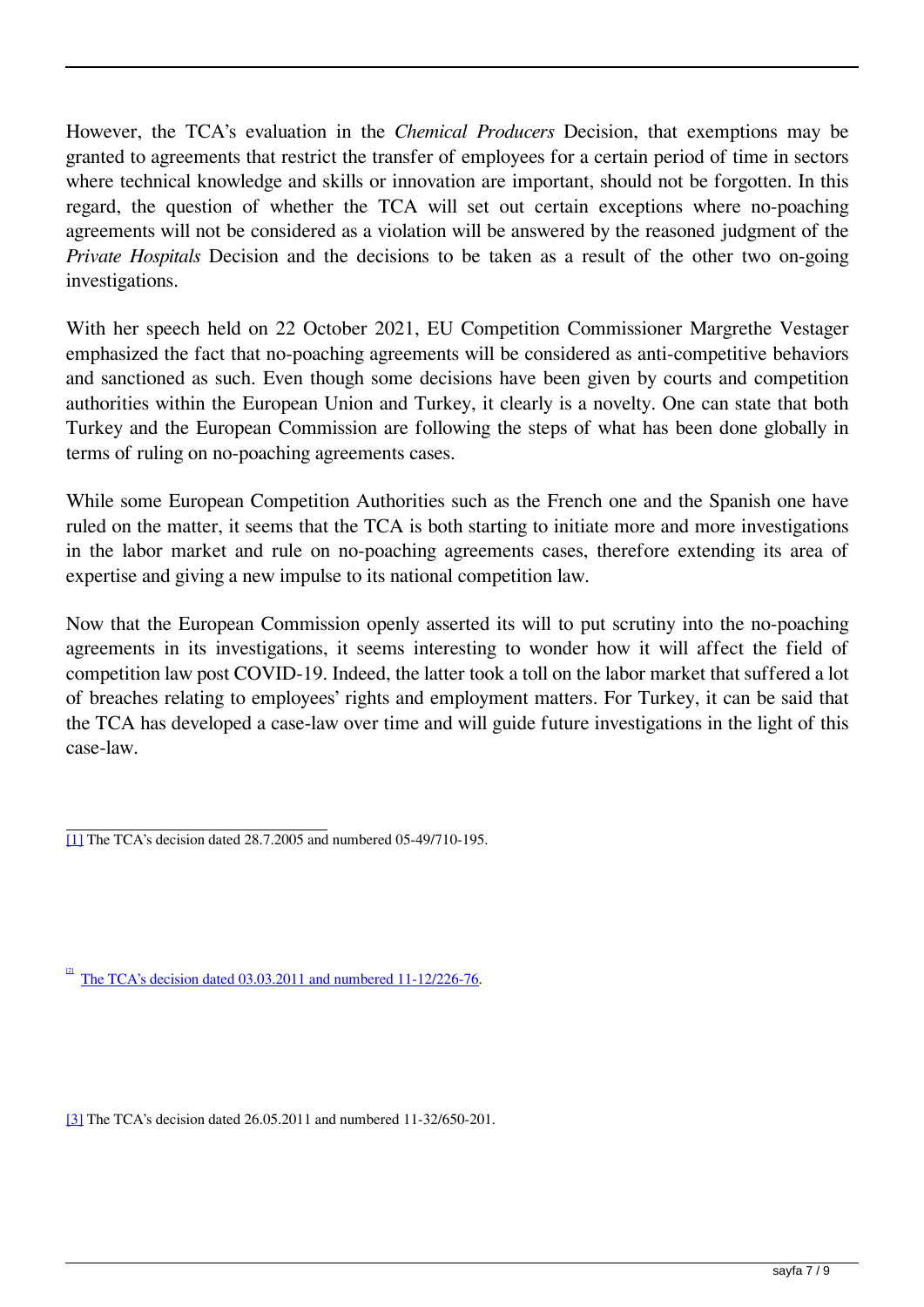However, the TCA's evaluation in the *Chemical Producers* Decision, that exemptions may be granted to agreements that restrict the transfer of employees for a certain period of time in sectors where technical knowledge and skills or innovation are important, should not be forgotten. In this regard, the question of whether the TCA will set out certain exceptions where no-poaching agreements will not be considered as a violation will be answered by the reasoned judgment of the *Private Hospitals* Decision and the decisions to be taken as a result of the other two on-going investigations.

With her speech held on 22 October 2021, EU Competition Commissioner Margrethe Vestager emphasized the fact that no-poaching agreements will be considered as anti-competitive behaviors and sanctioned as such. Even though some decisions have been given by courts and competition authorities within the European Union and Turkey, it clearly is a novelty. One can state that both Turkey and the European Commission are following the steps of what has been done globally in terms of ruling on no-poaching agreements cases.

While some European Competition Authorities such as the French one and the Spanish one have ruled on the matter, it seems that the TCA is both starting to initiate more and more investigations in the labor market and rule on no-poaching agreements cases, therefore extending its area of expertise and giving a new impulse to its national competition law.

Now that the European Commission openly asserted its will to put scrutiny into the no-poaching agreements in its investigations, it seems interesting to wonder how it will affect the field of competition law post COVID-19. Indeed, the latter took a toll on the labor market that suffered a lot of breaches relating to employees' rights and employment matters. For Turkey, it can be said that the TCA has developed a case-law over time and will guide future investigations in the light of this case-law.

[2] The TCA's decision dated 03.03.2011 and numbered 11-12/226-76.

[3] The TCA's decision dated 26.05.2011 and numbered 11-32/650-201.

<sup>[1]</sup> The TCA's decision dated 28.7.2005 and numbered 05-49/710-195.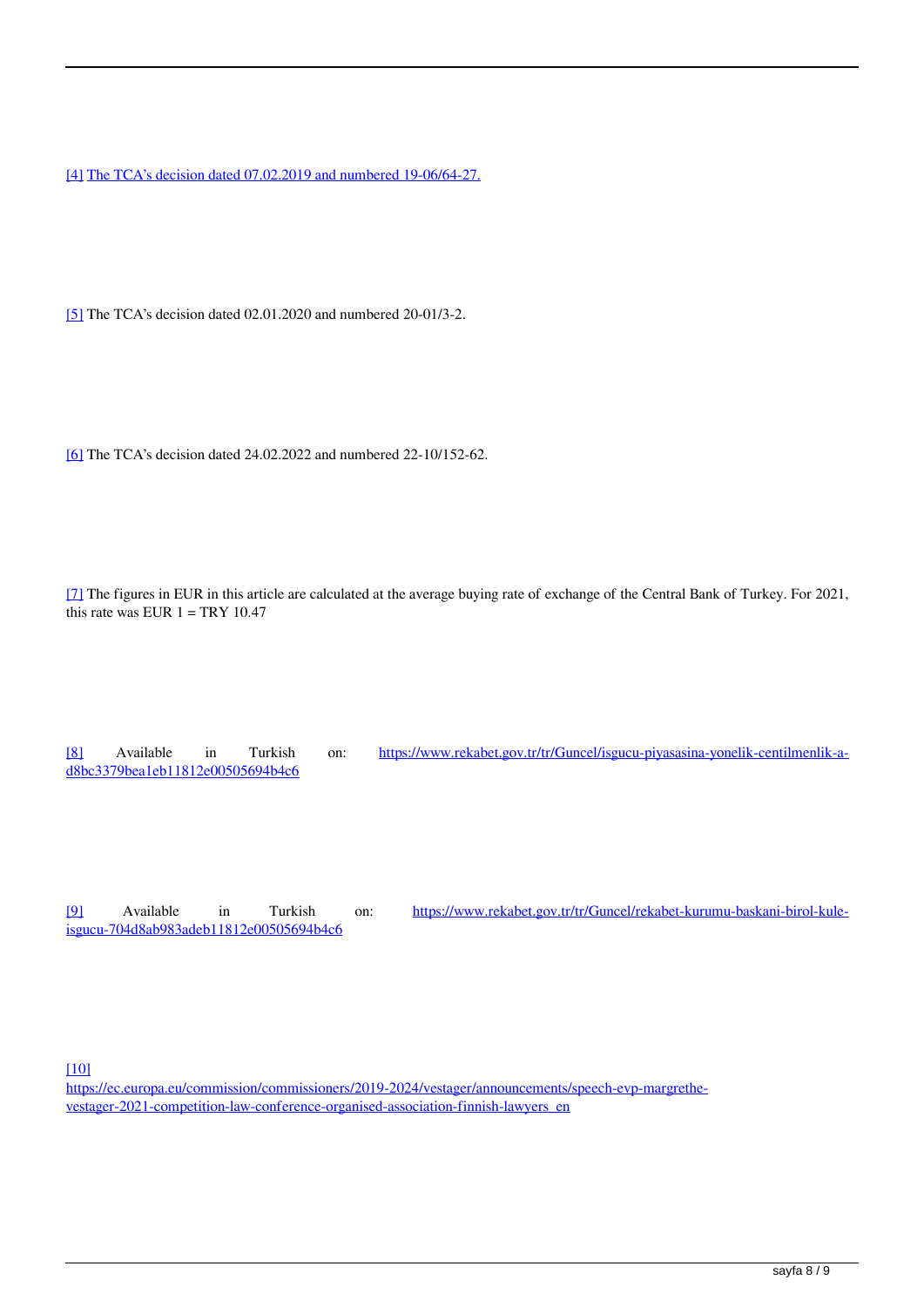[4] The TCA's decision dated 07.02.2019 and numbered 19-06/64-27.

[5] The TCA's decision dated 02.01.2020 and numbered 20-01/3-2.

[6] The TCA's decision dated 24.02.2022 and numbered 22-10/152-62.

[7] The figures in EUR in this article are calculated at the average buying rate of exchange of the Central Bank of Turkey. For 2021, this rate was EUR  $1 = TRY 10.47$ 

[8] Available in Turkish on: [https://www.rekabet.gov.tr/tr/Guncel/isgucu-piyasasina-yonelik-centilmenlik-a](https://www.rekabet.gov.tr/tr/Guncel/isgucu-piyasasina-yonelik-centilmenlik-a-d8bc3379bea1eb11812e00505694b4c6)[d8bc3379bea1eb11812e00505694b4c6](https://www.rekabet.gov.tr/tr/Guncel/isgucu-piyasasina-yonelik-centilmenlik-a-d8bc3379bea1eb11812e00505694b4c6)

[9] Available in Turkish on: [https://www.rekabet.gov.tr/tr/Guncel/rekabet-kurumu-baskani-birol-kule](https://www.rekabet.gov.tr/tr/Guncel/rekabet-kurumu-baskani-birol-kule-isgucu-704d8ab983adeb11812e00505694b4c6)[isgucu-704d8ab983adeb11812e00505694b4c6](https://www.rekabet.gov.tr/tr/Guncel/rekabet-kurumu-baskani-birol-kule-isgucu-704d8ab983adeb11812e00505694b4c6)

[10]

[https://ec.europa.eu/commission/commissioners/2019-2024/vestager/announcements/speech-evp-margrethe](https://ec.europa.eu/commission/commissioners/2019-2024/vestager/announcements/speech-evp-margrethe-vestager-2021-competition-law-conference-organised-association-finnish-lawyers_en)[vestager-2021-competition-law-conference-organised-association-finnish-lawyers\\_en](https://ec.europa.eu/commission/commissioners/2019-2024/vestager/announcements/speech-evp-margrethe-vestager-2021-competition-law-conference-organised-association-finnish-lawyers_en)